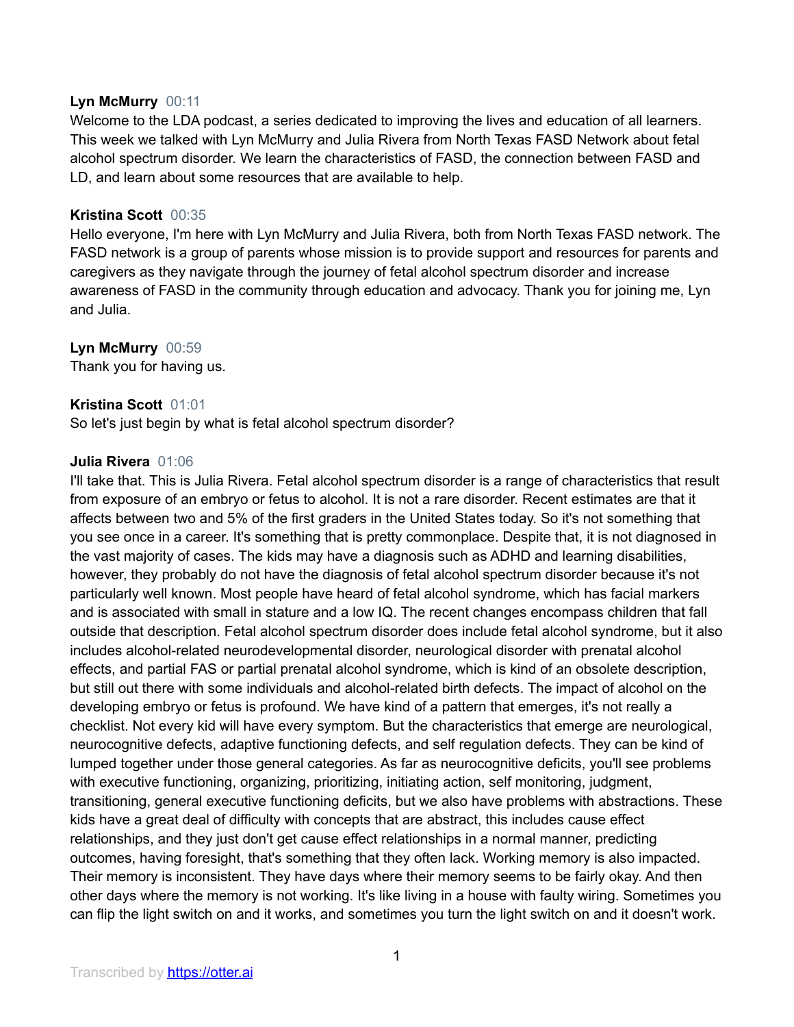## **Lyn McMurry** 00:11

Welcome to the LDA podcast, a series dedicated to improving the lives and education of all learners. This week we talked with Lyn McMurry and Julia Rivera from North Texas FASD Network about fetal alcohol spectrum disorder. We learn the characteristics of FASD, the connection between FASD and LD, and learn about some resources that are available to help.

## **Kristina Scott** 00:35

Hello everyone, I'm here with Lyn McMurry and Julia Rivera, both from North Texas FASD network. The FASD network is a group of parents whose mission is to provide support and resources for parents and caregivers as they navigate through the journey of fetal alcohol spectrum disorder and increase awareness of FASD in the community through education and advocacy. Thank you for joining me, Lyn and Julia.

## **Lyn McMurry** 00:59

Thank you for having us.

## **Kristina Scott** 01:01

So let's just begin by what is fetal alcohol spectrum disorder?

#### **Julia Rivera** 01:06

I'll take that. This is Julia Rivera. Fetal alcohol spectrum disorder is a range of characteristics that result from exposure of an embryo or fetus to alcohol. It is not a rare disorder. Recent estimates are that it affects between two and 5% of the first graders in the United States today. So it's not something that you see once in a career. It's something that is pretty commonplace. Despite that, it is not diagnosed in the vast majority of cases. The kids may have a diagnosis such as ADHD and learning disabilities, however, they probably do not have the diagnosis of fetal alcohol spectrum disorder because it's not particularly well known. Most people have heard of fetal alcohol syndrome, which has facial markers and is associated with small in stature and a low IQ. The recent changes encompass children that fall outside that description. Fetal alcohol spectrum disorder does include fetal alcohol syndrome, but it also includes alcohol-related neurodevelopmental disorder, neurological disorder with prenatal alcohol effects, and partial FAS or partial prenatal alcohol syndrome, which is kind of an obsolete description, but still out there with some individuals and alcohol-related birth defects. The impact of alcohol on the developing embryo or fetus is profound. We have kind of a pattern that emerges, it's not really a checklist. Not every kid will have every symptom. But the characteristics that emerge are neurological, neurocognitive defects, adaptive functioning defects, and self regulation defects. They can be kind of lumped together under those general categories. As far as neurocognitive deficits, you'll see problems with executive functioning, organizing, prioritizing, initiating action, self monitoring, judgment, transitioning, general executive functioning deficits, but we also have problems with abstractions. These kids have a great deal of difficulty with concepts that are abstract, this includes cause effect relationships, and they just don't get cause effect relationships in a normal manner, predicting outcomes, having foresight, that's something that they often lack. Working memory is also impacted. Their memory is inconsistent. They have days where their memory seems to be fairly okay. And then other days where the memory is not working. It's like living in a house with faulty wiring. Sometimes you can flip the light switch on and it works, and sometimes you turn the light switch on and it doesn't work.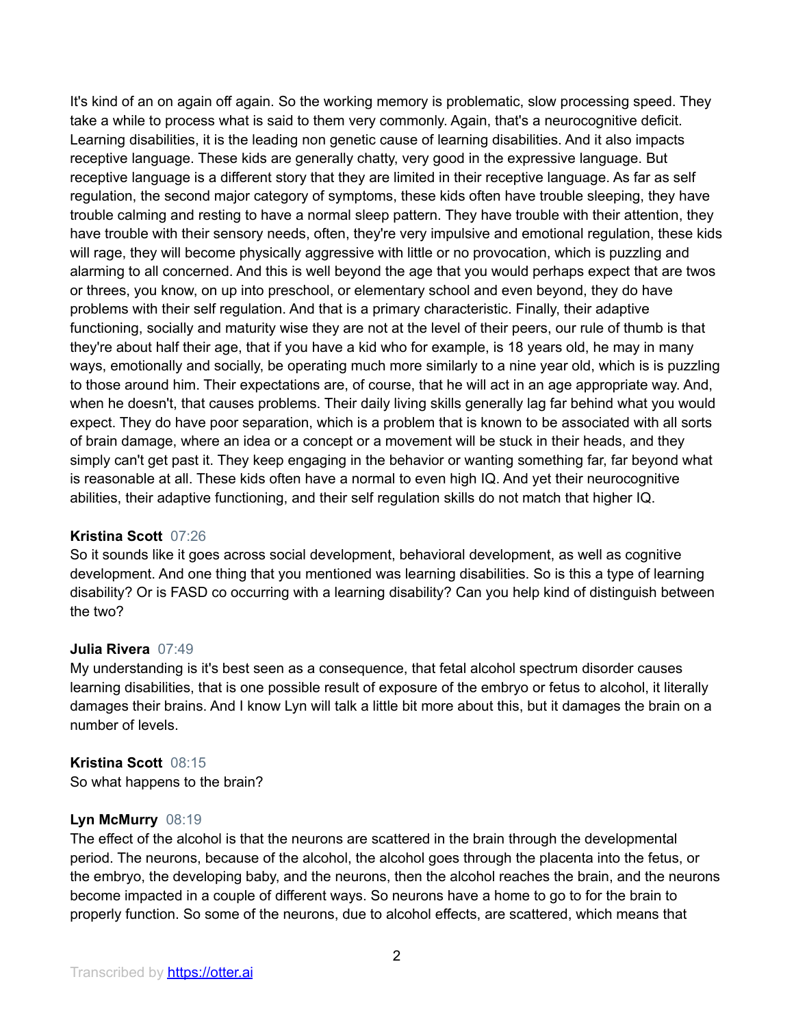It's kind of an on again off again. So the working memory is problematic, slow processing speed. They take a while to process what is said to them very commonly. Again, that's a neurocognitive deficit. Learning disabilities, it is the leading non genetic cause of learning disabilities. And it also impacts receptive language. These kids are generally chatty, very good in the expressive language. But receptive language is a different story that they are limited in their receptive language. As far as self regulation, the second major category of symptoms, these kids often have trouble sleeping, they have trouble calming and resting to have a normal sleep pattern. They have trouble with their attention, they have trouble with their sensory needs, often, they're very impulsive and emotional regulation, these kids will rage, they will become physically aggressive with little or no provocation, which is puzzling and alarming to all concerned. And this is well beyond the age that you would perhaps expect that are twos or threes, you know, on up into preschool, or elementary school and even beyond, they do have problems with their self regulation. And that is a primary characteristic. Finally, their adaptive functioning, socially and maturity wise they are not at the level of their peers, our rule of thumb is that they're about half their age, that if you have a kid who for example, is 18 years old, he may in many ways, emotionally and socially, be operating much more similarly to a nine year old, which is is puzzling to those around him. Their expectations are, of course, that he will act in an age appropriate way. And, when he doesn't, that causes problems. Their daily living skills generally lag far behind what you would expect. They do have poor separation, which is a problem that is known to be associated with all sorts of brain damage, where an idea or a concept or a movement will be stuck in their heads, and they simply can't get past it. They keep engaging in the behavior or wanting something far, far beyond what is reasonable at all. These kids often have a normal to even high IQ. And yet their neurocognitive abilities, their adaptive functioning, and their self regulation skills do not match that higher IQ.

## **Kristina Scott** 07:26

So it sounds like it goes across social development, behavioral development, as well as cognitive development. And one thing that you mentioned was learning disabilities. So is this a type of learning disability? Or is FASD co occurring with a learning disability? Can you help kind of distinguish between the two?

#### **Julia Rivera** 07:49

My understanding is it's best seen as a consequence, that fetal alcohol spectrum disorder causes learning disabilities, that is one possible result of exposure of the embryo or fetus to alcohol, it literally damages their brains. And I know Lyn will talk a little bit more about this, but it damages the brain on a number of levels.

#### **Kristina Scott** 08:15

So what happens to the brain?

#### **Lyn McMurry** 08:19

The effect of the alcohol is that the neurons are scattered in the brain through the developmental period. The neurons, because of the alcohol, the alcohol goes through the placenta into the fetus, or the embryo, the developing baby, and the neurons, then the alcohol reaches the brain, and the neurons become impacted in a couple of different ways. So neurons have a home to go to for the brain to properly function. So some of the neurons, due to alcohol effects, are scattered, which means that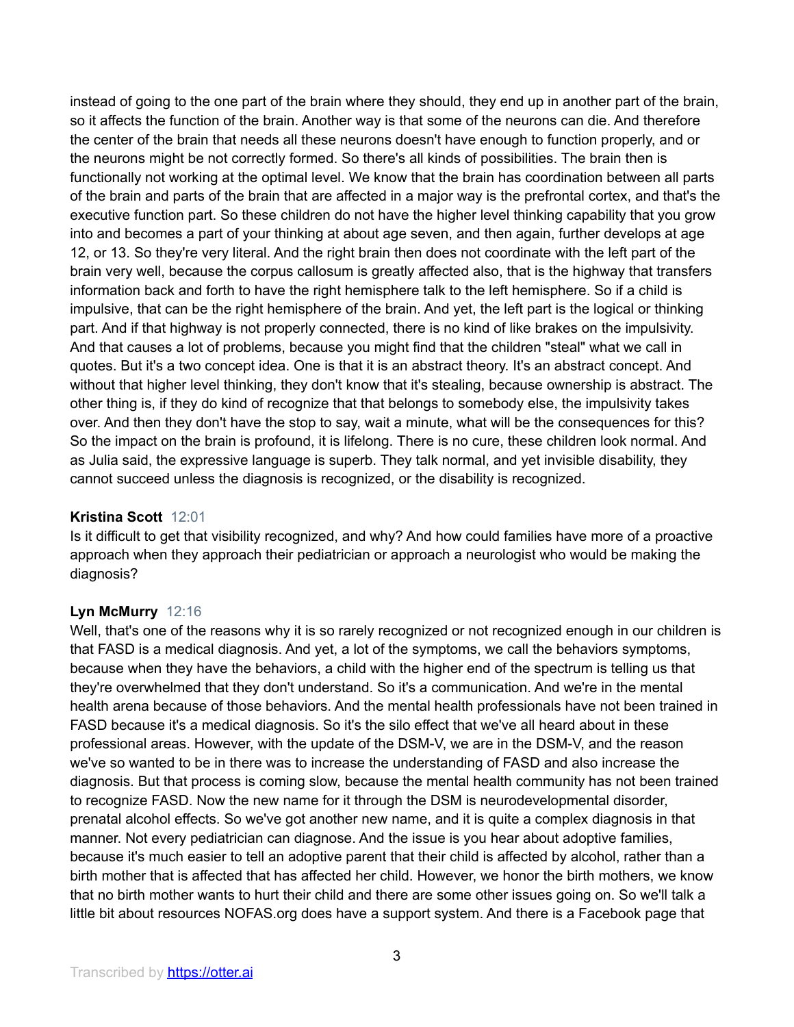instead of going to the one part of the brain where they should, they end up in another part of the brain, so it affects the function of the brain. Another way is that some of the neurons can die. And therefore the center of the brain that needs all these neurons doesn't have enough to function properly, and or the neurons might be not correctly formed. So there's all kinds of possibilities. The brain then is functionally not working at the optimal level. We know that the brain has coordination between all parts of the brain and parts of the brain that are affected in a major way is the prefrontal cortex, and that's the executive function part. So these children do not have the higher level thinking capability that you grow into and becomes a part of your thinking at about age seven, and then again, further develops at age 12, or 13. So they're very literal. And the right brain then does not coordinate with the left part of the brain very well, because the corpus callosum is greatly affected also, that is the highway that transfers information back and forth to have the right hemisphere talk to the left hemisphere. So if a child is impulsive, that can be the right hemisphere of the brain. And yet, the left part is the logical or thinking part. And if that highway is not properly connected, there is no kind of like brakes on the impulsivity. And that causes a lot of problems, because you might find that the children "steal" what we call in quotes. But it's a two concept idea. One is that it is an abstract theory. It's an abstract concept. And without that higher level thinking, they don't know that it's stealing, because ownership is abstract. The other thing is, if they do kind of recognize that that belongs to somebody else, the impulsivity takes over. And then they don't have the stop to say, wait a minute, what will be the consequences for this? So the impact on the brain is profound, it is lifelong. There is no cure, these children look normal. And as Julia said, the expressive language is superb. They talk normal, and yet invisible disability, they cannot succeed unless the diagnosis is recognized, or the disability is recognized.

# **Kristina Scott** 12:01

Is it difficult to get that visibility recognized, and why? And how could families have more of a proactive approach when they approach their pediatrician or approach a neurologist who would be making the diagnosis?

## **Lyn McMurry** 12:16

Well, that's one of the reasons why it is so rarely recognized or not recognized enough in our children is that FASD is a medical diagnosis. And yet, a lot of the symptoms, we call the behaviors symptoms, because when they have the behaviors, a child with the higher end of the spectrum is telling us that they're overwhelmed that they don't understand. So it's a communication. And we're in the mental health arena because of those behaviors. And the mental health professionals have not been trained in FASD because it's a medical diagnosis. So it's the silo effect that we've all heard about in these professional areas. However, with the update of the DSM-V, we are in the DSM-V, and the reason we've so wanted to be in there was to increase the understanding of FASD and also increase the diagnosis. But that process is coming slow, because the mental health community has not been trained to recognize FASD. Now the new name for it through the DSM is neurodevelopmental disorder, prenatal alcohol effects. So we've got another new name, and it is quite a complex diagnosis in that manner. Not every pediatrician can diagnose. And the issue is you hear about adoptive families, because it's much easier to tell an adoptive parent that their child is affected by alcohol, rather than a birth mother that is affected that has affected her child. However, we honor the birth mothers, we know that no birth mother wants to hurt their child and there are some other issues going on. So we'll talk a little bit about resources NOFAS.org does have a support system. And there is a Facebook page that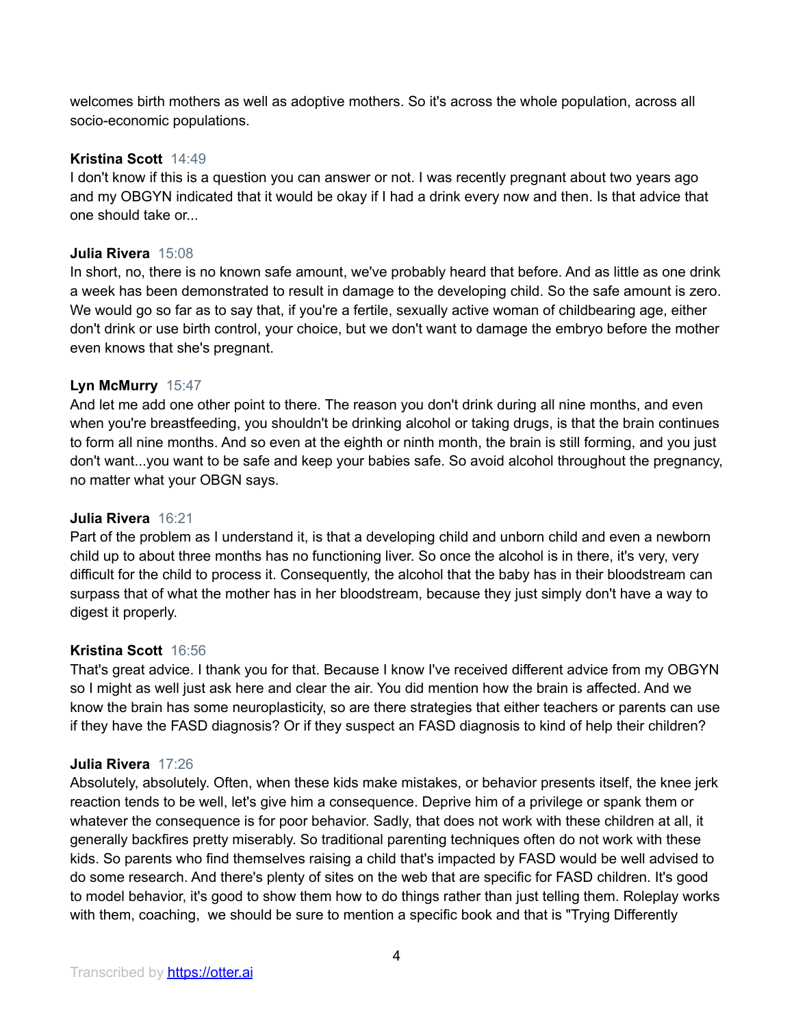welcomes birth mothers as well as adoptive mothers. So it's across the whole population, across all socio-economic populations.

# **Kristina Scott** 14:49

I don't know if this is a question you can answer or not. I was recently pregnant about two years ago and my OBGYN indicated that it would be okay if I had a drink every now and then. Is that advice that one should take or...

#### **Julia Rivera** 15:08

In short, no, there is no known safe amount, we've probably heard that before. And as little as one drink a week has been demonstrated to result in damage to the developing child. So the safe amount is zero. We would go so far as to say that, if you're a fertile, sexually active woman of childbearing age, either don't drink or use birth control, your choice, but we don't want to damage the embryo before the mother even knows that she's pregnant.

## **Lyn McMurry** 15:47

And let me add one other point to there. The reason you don't drink during all nine months, and even when you're breastfeeding, you shouldn't be drinking alcohol or taking drugs, is that the brain continues to form all nine months. And so even at the eighth or ninth month, the brain is still forming, and you just don't want...you want to be safe and keep your babies safe. So avoid alcohol throughout the pregnancy, no matter what your OBGN says.

#### **Julia Rivera** 16:21

Part of the problem as I understand it, is that a developing child and unborn child and even a newborn child up to about three months has no functioning liver. So once the alcohol is in there, it's very, very difficult for the child to process it. Consequently, the alcohol that the baby has in their bloodstream can surpass that of what the mother has in her bloodstream, because they just simply don't have a way to digest it properly.

#### **Kristina Scott** 16:56

That's great advice. I thank you for that. Because I know I've received different advice from my OBGYN so I might as well just ask here and clear the air. You did mention how the brain is affected. And we know the brain has some neuroplasticity, so are there strategies that either teachers or parents can use if they have the FASD diagnosis? Or if they suspect an FASD diagnosis to kind of help their children?

#### **Julia Rivera** 17:26

Absolutely, absolutely. Often, when these kids make mistakes, or behavior presents itself, the knee jerk reaction tends to be well, let's give him a consequence. Deprive him of a privilege or spank them or whatever the consequence is for poor behavior. Sadly, that does not work with these children at all, it generally backfires pretty miserably. So traditional parenting techniques often do not work with these kids. So parents who find themselves raising a child that's impacted by FASD would be well advised to do some research. And there's plenty of sites on the web that are specific for FASD children. It's good to model behavior, it's good to show them how to do things rather than just telling them. Roleplay works with them, coaching, we should be sure to mention a specific book and that is "Trying Differently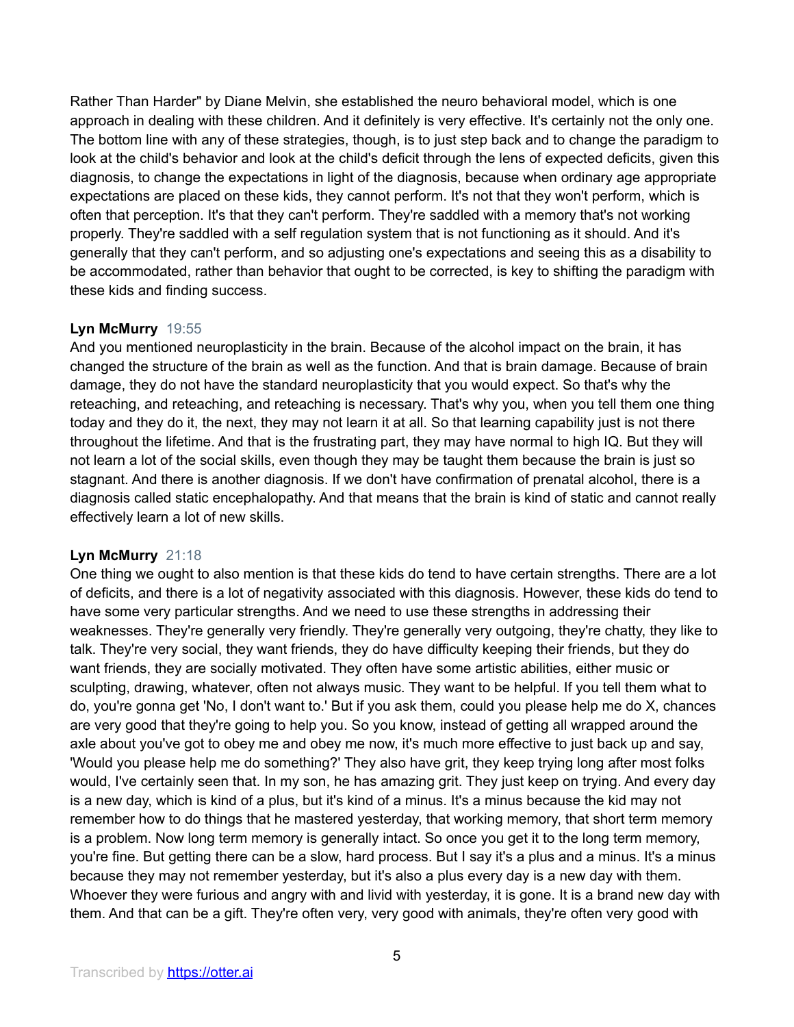Rather Than Harder" by Diane Melvin, she established the neuro behavioral model, which is one approach in dealing with these children. And it definitely is very effective. It's certainly not the only one. The bottom line with any of these strategies, though, is to just step back and to change the paradigm to look at the child's behavior and look at the child's deficit through the lens of expected deficits, given this diagnosis, to change the expectations in light of the diagnosis, because when ordinary age appropriate expectations are placed on these kids, they cannot perform. It's not that they won't perform, which is often that perception. It's that they can't perform. They're saddled with a memory that's not working properly. They're saddled with a self regulation system that is not functioning as it should. And it's generally that they can't perform, and so adjusting one's expectations and seeing this as a disability to be accommodated, rather than behavior that ought to be corrected, is key to shifting the paradigm with these kids and finding success.

# **Lyn McMurry** 19:55

And you mentioned neuroplasticity in the brain. Because of the alcohol impact on the brain, it has changed the structure of the brain as well as the function. And that is brain damage. Because of brain damage, they do not have the standard neuroplasticity that you would expect. So that's why the reteaching, and reteaching, and reteaching is necessary. That's why you, when you tell them one thing today and they do it, the next, they may not learn it at all. So that learning capability just is not there throughout the lifetime. And that is the frustrating part, they may have normal to high IQ. But they will not learn a lot of the social skills, even though they may be taught them because the brain is just so stagnant. And there is another diagnosis. If we don't have confirmation of prenatal alcohol, there is a diagnosis called static encephalopathy. And that means that the brain is kind of static and cannot really effectively learn a lot of new skills.

# **Lyn McMurry** 21:18

One thing we ought to also mention is that these kids do tend to have certain strengths. There are a lot of deficits, and there is a lot of negativity associated with this diagnosis. However, these kids do tend to have some very particular strengths. And we need to use these strengths in addressing their weaknesses. They're generally very friendly. They're generally very outgoing, they're chatty, they like to talk. They're very social, they want friends, they do have difficulty keeping their friends, but they do want friends, they are socially motivated. They often have some artistic abilities, either music or sculpting, drawing, whatever, often not always music. They want to be helpful. If you tell them what to do, you're gonna get 'No, I don't want to.' But if you ask them, could you please help me do X, chances are very good that they're going to help you. So you know, instead of getting all wrapped around the axle about you've got to obey me and obey me now, it's much more effective to just back up and say, 'Would you please help me do something?' They also have grit, they keep trying long after most folks would, I've certainly seen that. In my son, he has amazing grit. They just keep on trying. And every day is a new day, which is kind of a plus, but it's kind of a minus. It's a minus because the kid may not remember how to do things that he mastered yesterday, that working memory, that short term memory is a problem. Now long term memory is generally intact. So once you get it to the long term memory, you're fine. But getting there can be a slow, hard process. But I say it's a plus and a minus. It's a minus because they may not remember yesterday, but it's also a plus every day is a new day with them. Whoever they were furious and angry with and livid with yesterday, it is gone. It is a brand new day with them. And that can be a gift. They're often very, very good with animals, they're often very good with